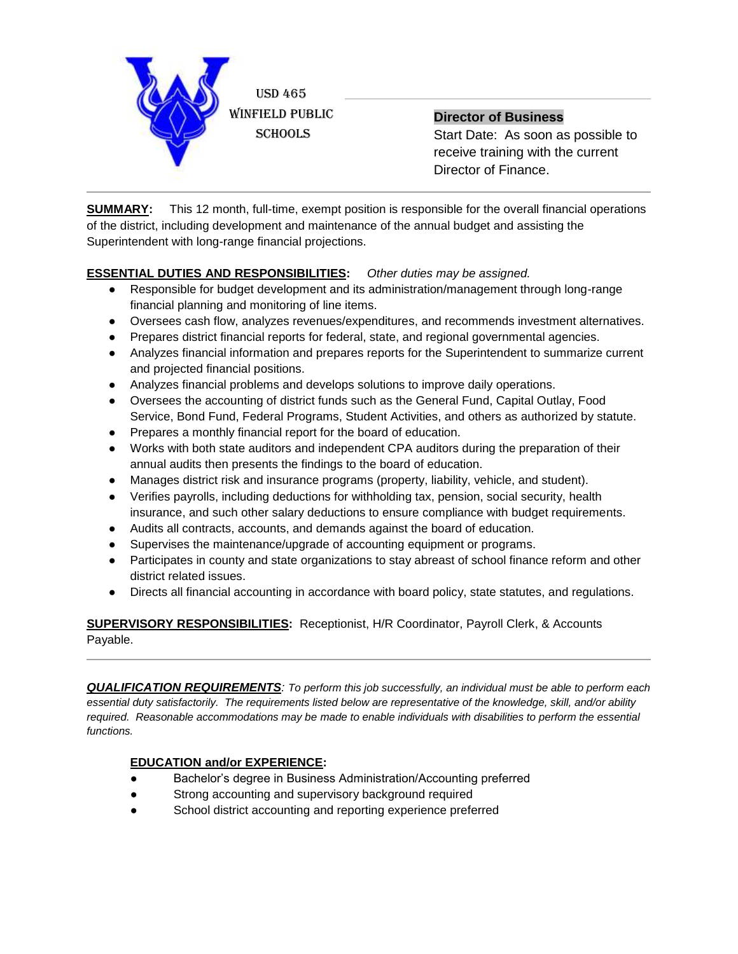

**Director of Business**

Start Date: As soon as possible to receive training with the current Director of Finance.

**SUMMARY:** This 12 month, full-time, exempt position is responsible for the overall financial operations of the district, including development and maintenance of the annual budget and assisting the Superintendent with long-range financial projections.

## **ESSENTIAL DUTIES AND RESPONSIBILITIES:** *Other duties may be assigned.*

- Responsible for budget development and its administration/management through long-range financial planning and monitoring of line items.
- Oversees cash flow, analyzes revenues/expenditures, and recommends investment alternatives.
- Prepares district financial reports for federal, state, and regional governmental agencies.
- Analyzes financial information and prepares reports for the Superintendent to summarize current and projected financial positions.
- Analyzes financial problems and develops solutions to improve daily operations.
- Oversees the accounting of district funds such as the General Fund, Capital Outlay, Food Service, Bond Fund, Federal Programs, Student Activities, and others as authorized by statute.
- Prepares a monthly financial report for the board of education.
- Works with both state auditors and independent CPA auditors during the preparation of their annual audits then presents the findings to the board of education.
- Manages district risk and insurance programs (property, liability, vehicle, and student).
- Verifies payrolls, including deductions for withholding tax, pension, social security, health insurance, and such other salary deductions to ensure compliance with budget requirements.
- Audits all contracts, accounts, and demands against the board of education.
- Supervises the maintenance/upgrade of accounting equipment or programs.
- Participates in county and state organizations to stay abreast of school finance reform and other district related issues.
- Directs all financial accounting in accordance with board policy, state statutes, and regulations.

**SUPERVISORY RESPONSIBILITIES:** Receptionist, H/R Coordinator, Payroll Clerk, & Accounts Payable.

*QUALIFICATION REQUIREMENTS: To perform this job successfully, an individual must be able to perform each essential duty satisfactorily. The requirements listed below are representative of the knowledge, skill, and/or ability*  required. Reasonable accommodations may be made to enable individuals with disabilities to perform the essential *functions.*

## **EDUCATION and/or EXPERIENCE:**

- Bachelor's degree in Business Administration/Accounting preferred
- Strong accounting and supervisory background required
- School district accounting and reporting experience preferred